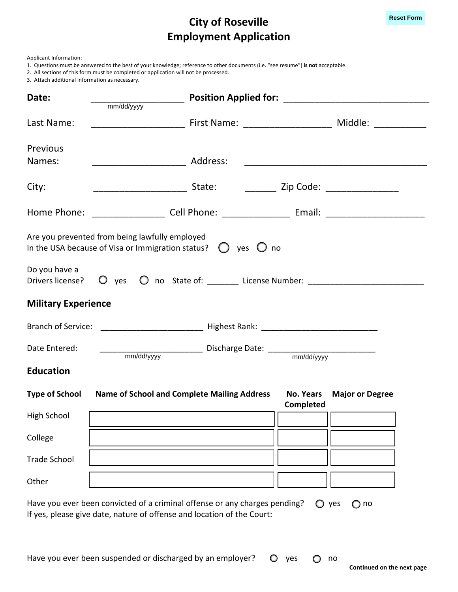## **City of Roseville Employment Application**

1. Questions must be answered to the best of your knowledge; reference to other documents (i.e. "see resume") **is not** acceptable.

2. All sections of this form must be completed or application will not be processed.

3. Attach additional information as necessary.

| Date:                                                                                                                                                                                   | mm/dd/yyyy                                                                       |                                      |                        |  |
|-----------------------------------------------------------------------------------------------------------------------------------------------------------------------------------------|----------------------------------------------------------------------------------|--------------------------------------|------------------------|--|
| Last Name:                                                                                                                                                                              |                                                                                  |                                      |                        |  |
| Previous<br>Names:                                                                                                                                                                      |                                                                                  |                                      |                        |  |
| City:                                                                                                                                                                                   |                                                                                  |                                      |                        |  |
|                                                                                                                                                                                         |                                                                                  |                                      |                        |  |
| Are you prevented from being lawfully employed<br>In the USA because of Visa or Immigration status? $\bigcirc$ yes $\bigcirc$ no                                                        |                                                                                  |                                      |                        |  |
| Do you have a<br>Drivers license?                                                                                                                                                       | O yes O no State of: ________ License Number: __________________________________ |                                      |                        |  |
| <b>Military Experience</b>                                                                                                                                                              |                                                                                  |                                      |                        |  |
|                                                                                                                                                                                         |                                                                                  |                                      |                        |  |
| Date Entered:                                                                                                                                                                           |                                                                                  |                                      |                        |  |
| <b>Education</b>                                                                                                                                                                        |                                                                                  |                                      |                        |  |
| <b>Type of School</b>                                                                                                                                                                   | <b>Name of School and Complete Mailing Address</b>                               | <b>No. Years</b><br><b>Completed</b> | <b>Major or Degree</b> |  |
| High School                                                                                                                                                                             |                                                                                  | $\sqrt{2\pi}$                        |                        |  |
| College                                                                                                                                                                                 |                                                                                  |                                      |                        |  |
| <b>Trade School</b>                                                                                                                                                                     |                                                                                  |                                      |                        |  |
| Other                                                                                                                                                                                   |                                                                                  |                                      |                        |  |
| Have you ever been convicted of a criminal offense or any charges pending?<br>$\bigcirc$ yes<br>$\bigcirc$ no<br>If yes, please give date, nature of offense and location of the Court: |                                                                                  |                                      |                        |  |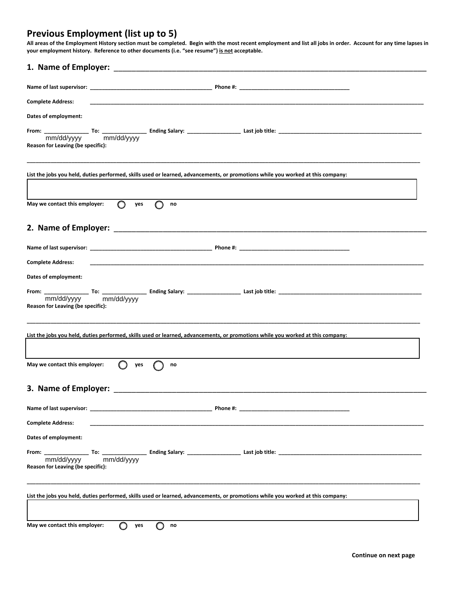## **Previous Employment (list up to 5)**

All areas of the Employment History section must be completed. Begin with the most recent employment and list all jobs in order. Account for any time lapses in **your employment history. Reference to other documents (i.e. "see resume") is not acceptable.**

| <b>Complete Address:</b>                                                                                                        |
|---------------------------------------------------------------------------------------------------------------------------------|
| Dates of employment:                                                                                                            |
| Reason for Leaving (be specific):                                                                                               |
| List the jobs you held, duties performed, skills used or learned, advancements, or promotions while you worked at this company: |
| $\circ$<br>∩<br>May we contact this employer:<br>yes<br>no                                                                      |
|                                                                                                                                 |
|                                                                                                                                 |
| <b>Complete Address:</b>                                                                                                        |
| Dates of employment:                                                                                                            |
| Reason for Leaving (be specific):                                                                                               |
| List the jobs you held, duties performed, skills used or learned, advancements, or promotions while you worked at this company: |
| May we contact this employer:<br>yes<br>no                                                                                      |
| 3. Name of Employer: __________                                                                                                 |
|                                                                                                                                 |
| <b>Complete Address:</b>                                                                                                        |
| Dates of employment:                                                                                                            |
| Reason for Leaving (be specific):                                                                                               |
| List the jobs you held, duties performed, skills used or learned, advancements, or promotions while you worked at this company: |
| May we contact this employer:<br>yes<br>no                                                                                      |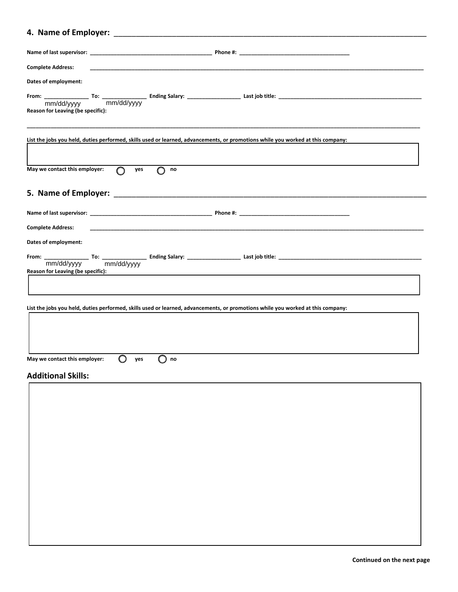## **4. Name of Employer:** \_\_\_\_\_\_\_\_\_\_\_\_\_\_\_\_\_\_\_\_\_\_\_\_\_\_\_\_\_\_\_\_\_\_\_\_\_\_\_\_\_\_\_\_\_\_\_\_\_\_\_\_\_\_\_\_\_\_\_\_\_\_\_\_\_\_\_\_\_\_

| <b>Complete Address:</b>                                                                                                        |
|---------------------------------------------------------------------------------------------------------------------------------|
| Dates of employment:                                                                                                            |
| Reason for Leaving (be specific):                                                                                               |
| List the jobs you held, duties performed, skills used or learned, advancements, or promotions while you worked at this company: |
| May we contact this employer:<br>$\circ$<br>yes<br>no                                                                           |
|                                                                                                                                 |
| <b>Complete Address:</b>                                                                                                        |
| Dates of employment:                                                                                                            |
| Reason for Leaving (be specific):                                                                                               |
| List the jobs you held, duties performed, skills used or learned, advancements, or promotions while you worked at this company: |
| May we contact this employer:<br>yes<br>$\Box$<br>no<br><b>Additional Skills:</b>                                               |
|                                                                                                                                 |

<u> La componenta de la contrada de la contrada de la contrada de la contrada de la contrada de la contrada de la</u>